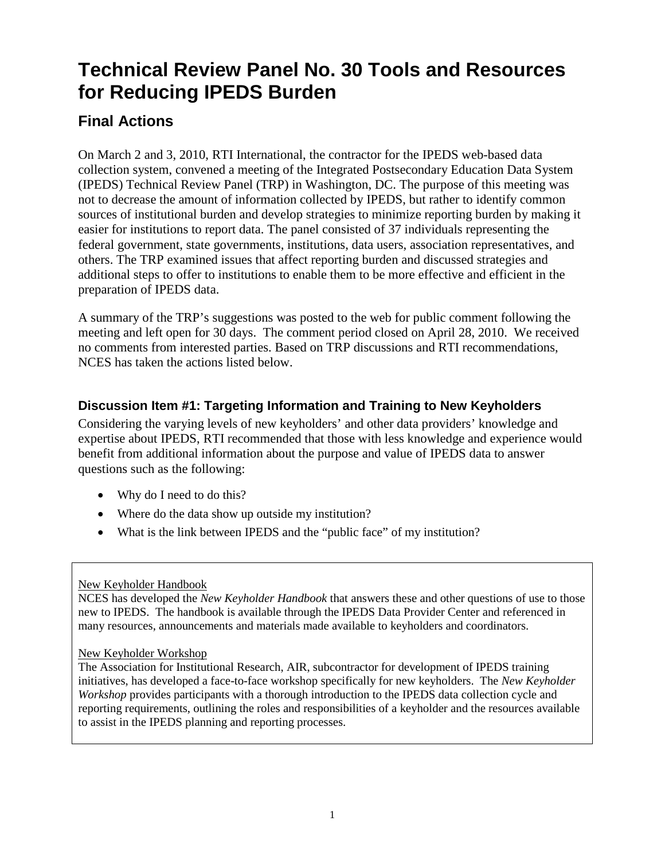# **Technical Review Panel No. 30 Tools and Resources for Reducing IPEDS Burden**

# **Final Actions**

On March 2 and 3, 2010, RTI International, the contractor for the IPEDS web-based data collection system, convened a meeting of the Integrated Postsecondary Education Data System (IPEDS) Technical Review Panel (TRP) in Washington, DC. The purpose of this meeting was not to decrease the amount of information collected by IPEDS, but rather to identify common sources of institutional burden and develop strategies to minimize reporting burden by making it easier for institutions to report data. The panel consisted of 37 individuals representing the federal government, state governments, institutions, data users, association representatives, and others. The TRP examined issues that affect reporting burden and discussed strategies and additional steps to offer to institutions to enable them to be more effective and efficient in the preparation of IPEDS data.

A summary of the TRP's suggestions was posted to the web for public comment following the meeting and left open for 30 days. The comment period closed on April 28, 2010. We received no comments from interested parties. Based on TRP discussions and RTI recommendations, NCES has taken the actions listed below.

## **Discussion Item #1: Targeting Information and Training to New Keyholders**

Considering the varying levels of new keyholders' and other data providers' knowledge and expertise about IPEDS, RTI recommended that those with less knowledge and experience would benefit from additional information about the purpose and value of IPEDS data to answer questions such as the following:

- Why do I need to do this?
- Where do the data show up outside my institution?
- What is the link between IPEDS and the "public face" of my institution?

#### New Keyholder Handbook

NCES has developed the *New Keyholder Handbook* that answers these and other questions of use to those new to IPEDS. The handbook is available through the IPEDS Data Provider Center and referenced in many resources, announcements and materials made available to keyholders and coordinators.

#### New Keyholder Workshop

The Association for Institutional Research, AIR, subcontractor for development of IPEDS training initiatives, has developed a face-to-face workshop specifically for new keyholders. The *New Keyholder Workshop* provides participants with a thorough introduction to the IPEDS data collection cycle and reporting requirements, outlining the roles and responsibilities of a keyholder and the resources available to assist in the IPEDS planning and reporting processes.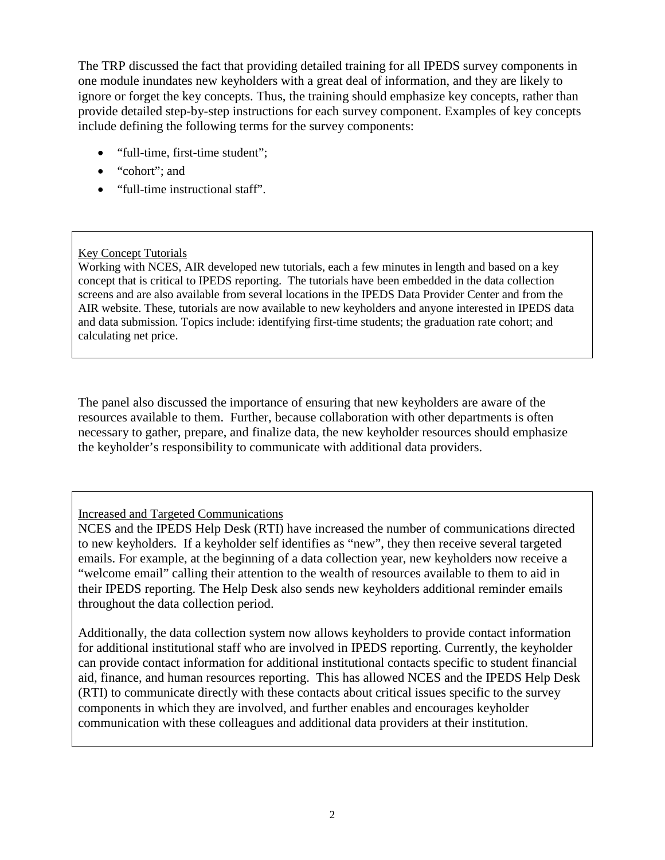The TRP discussed the fact that providing detailed training for all IPEDS survey components in one module inundates new keyholders with a great deal of information, and they are likely to ignore or forget the key concepts. Thus, the training should emphasize key concepts, rather than provide detailed step-by-step instructions for each survey component. Examples of key concepts include defining the following terms for the survey components:

- "full-time, first-time student";
- "cohort"; and
- "full-time instructional staff".

#### Key Concept Tutorials

Working with NCES, AIR developed new tutorials, each a few minutes in length and based on a key concept that is critical to IPEDS reporting. The tutorials have been embedded in the data collection screens and are also available from several locations in the IPEDS Data Provider Center and from the AIR website. These, tutorials are now available to new keyholders and anyone interested in IPEDS data and data submission. Topics include: identifying first-time students; the graduation rate cohort; and calculating net price.

The panel also discussed the importance of ensuring that new keyholders are aware of the resources available to them. Further, because collaboration with other departments is often necessary to gather, prepare, and finalize data, the new keyholder resources should emphasize the keyholder's responsibility to communicate with additional data providers.

Increased and Targeted Communications

NCES and the IPEDS Help Desk (RTI) have increased the number of communications directed to new keyholders. If a keyholder self identifies as "new", they then receive several targeted emails. For example, at the beginning of a data collection year, new keyholders now receive a "welcome email" calling their attention to the wealth of resources available to them to aid in their IPEDS reporting. The Help Desk also sends new keyholders additional reminder emails throughout the data collection period.

Additionally, the data collection system now allows keyholders to provide contact information for additional institutional staff who are involved in IPEDS reporting. Currently, the keyholder can provide contact information for additional institutional contacts specific to student financial aid, finance, and human resources reporting. This has allowed NCES and the IPEDS Help Desk (RTI) to communicate directly with these contacts about critical issues specific to the survey components in which they are involved, and further enables and encourages keyholder communication with these colleagues and additional data providers at their institution.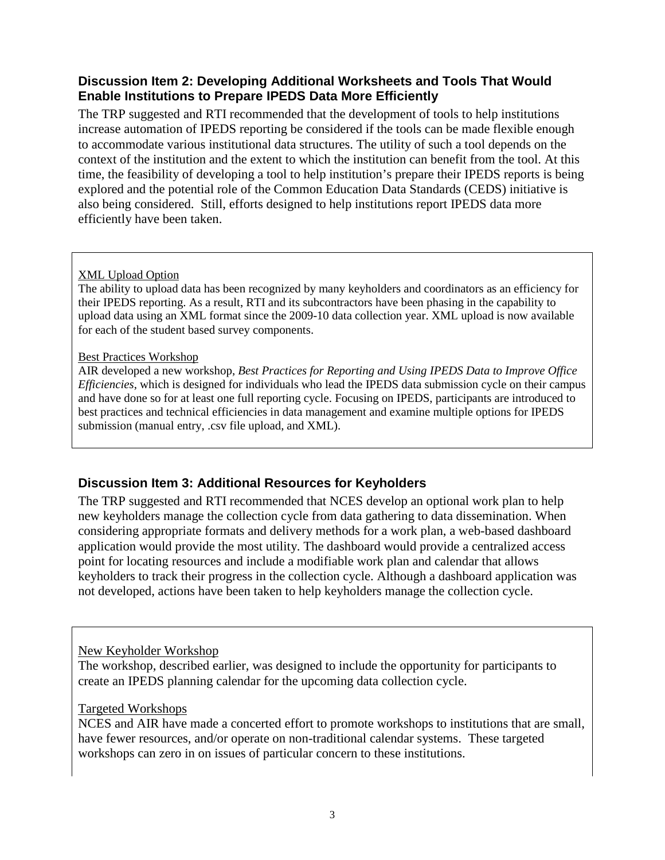### **Discussion Item 2: Developing Additional Worksheets and Tools That Would Enable Institutions to Prepare IPEDS Data More Efficiently**

The TRP suggested and RTI recommended that the development of tools to help institutions increase automation of IPEDS reporting be considered if the tools can be made flexible enough to accommodate various institutional data structures. The utility of such a tool depends on the context of the institution and the extent to which the institution can benefit from the tool. At this time, the feasibility of developing a tool to help institution's prepare their IPEDS reports is being explored and the potential role of the Common Education Data Standards (CEDS) initiative is also being considered. Still, efforts designed to help institutions report IPEDS data more efficiently have been taken.

#### XML Upload Option

The ability to upload data has been recognized by many keyholders and coordinators as an efficiency for their IPEDS reporting. As a result, RTI and its subcontractors have been phasing in the capability to upload data using an XML format since the 2009-10 data collection year. XML upload is now available for each of the student based survey components.

#### Best Practices Workshop

AIR developed a new workshop, *Best Practices for Reporting and Using IPEDS Data to Improve Office Efficiencies*, which is designed for individuals who lead the IPEDS data submission cycle on their campus and have done so for at least one full reporting cycle. Focusing on IPEDS, participants are introduced to best practices and technical efficiencies in data management and examine multiple options for IPEDS submission (manual entry, .csv file upload, and XML).

#### **Discussion Item 3: Additional Resources for Keyholders**

The TRP suggested and RTI recommended that NCES develop an optional work plan to help new keyholders manage the collection cycle from data gathering to data dissemination. When considering appropriate formats and delivery methods for a work plan, a web-based dashboard application would provide the most utility. The dashboard would provide a centralized access point for locating resources and include a modifiable work plan and calendar that allows keyholders to track their progress in the collection cycle. Although a dashboard application was not developed, actions have been taken to help keyholders manage the collection cycle.

#### New Keyholder Workshop

The workshop, described earlier, was designed to include the opportunity for participants to create an IPEDS planning calendar for the upcoming data collection cycle.

#### Targeted Workshops

NCES and AIR have made a concerted effort to promote workshops to institutions that are small, have fewer resources, and/or operate on non-traditional calendar systems. These targeted workshops can zero in on issues of particular concern to these institutions.